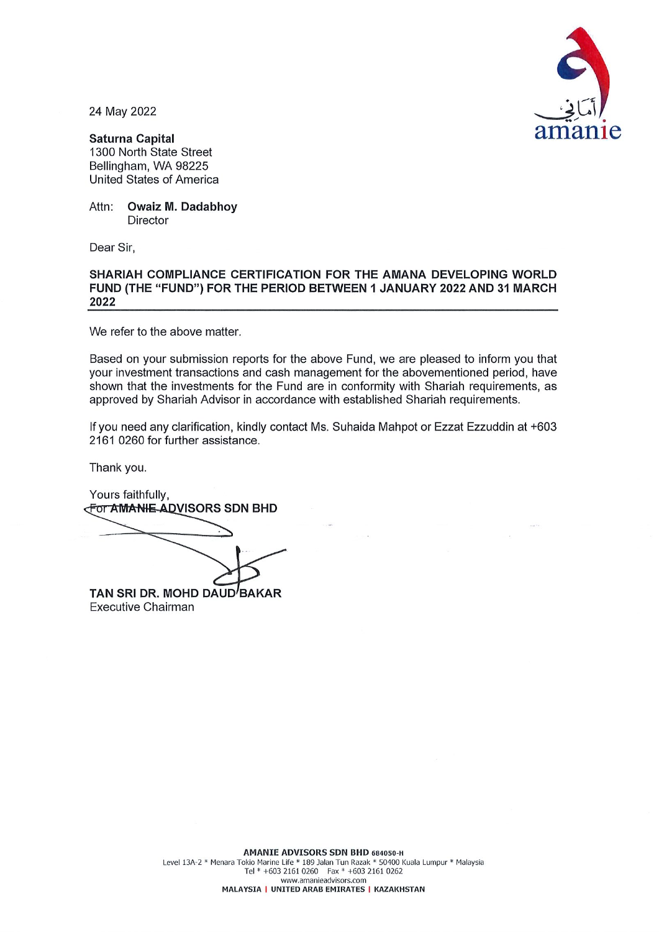

24 May 2022

**Saturna Capital** 1300 North State Street Bellingham, WA 98225 **United States of America** 

**Owaiz M. Dadabhoy** Attn: **Director** 

Dear Sir,

## SHARIAH COMPLIANCE CERTIFICATION FOR THE AMANA DEVELOPING WORLD FUND (THE "FUND") FOR THE PERIOD BETWEEN 1 JANUARY 2022 AND 31 MARCH 2022

We refer to the above matter.

Based on your submission reports for the above Fund, we are pleased to inform you that your investment transactions and cash management for the abovementioned period. have shown that the investments for the Fund are in conformity with Shariah requirements, as approved by Shariah Advisor in accordance with established Shariah requirements.

If you need any clarification, kindly contact Ms. Suhaida Mahpot or Ezzat Ezzuddin at +603 2161 0260 for further assistance.

Thank you.

Yours faithfully, **For AMANIE ADVISORS SDN BHD** TAN SRI DR. MOHD DAUD BAKAR

Executive Chairman